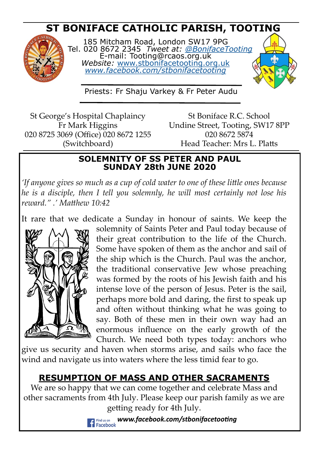# **ST BONIFACE CATHOLIC PARISH, TOOTING**



185 Mitcham Road, London SW17 9PG Tel. 020 8672 2345 *Tweet at: [@BonifaceTooting](http://twitter.com/bonifacetooting)* E-mail: [Tooting@rcaos.org.uk](mailto:parishpriest@stbonifacetooting.org.uk) *Website:* [www.stbonifacetooting.org.uk](http://www.stbonifacetooting.org.uk) *[www.facebook.com/stbonifacetooting](http://www.facebook.com/stbonifacetooting)*



Priests: Fr Shaju Varkey & Fr Peter Audu

St George's Hospital Chaplaincy Fr Mark Higgins 020 8725 3069 (Office) 020 8672 1255 (Switchboard)

St Boniface R.C. School Undine Street, Tooting, SW17 8PP 020 8672 5874 Head Teacher: Mrs L. Platts

#### **SOLEMNITY OF SS PETER AND PAUL SUNDAY 28th JUNE 2020**

*'If anyone gives so much as a cup of cold water to one of these little ones because he is a disciple, then I tell you solemnly, he will most certainly not lose his reward." .' Matthew 10:42*

It rare that we dedicate a Sunday in honour of saints. We keep the



solemnity of Saints Peter and Paul today because of their great contribution to the life of the Church. Some have spoken of them as the anchor and sail of the ship which is the Church. Paul was the anchor, the traditional conservative Jew whose preaching was formed by the roots of his Jewish faith and his intense love of the person of Jesus. Peter is the sail, perhaps more bold and daring, the first to speak up and often without thinking what he was going to say. Both of these men in their own way had an enormous influence on the early growth of the Church. We need both types today: anchors who

give us security and haven when storms arise, and sails who face the wind and navigate us into waters where the less timid fear to go.

# **RESUMPTION OF MASS AND OTHER SACRAMENTS**

We are so happy that we can come together and celebrate Mass and other sacraments from 4th July. Please keep our parish family as we are getting ready for 4th July.

*Find us on WWW.facebook.com/stbonifacetooting*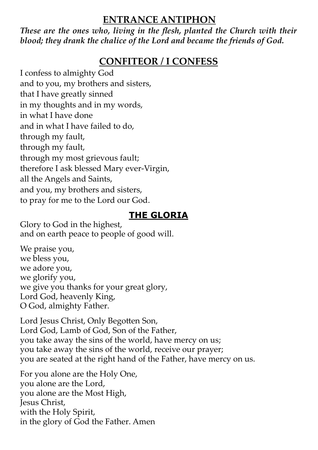## **ENTRANCE ANTIPHON**

*These are the ones who, living in the flesh, planted the Church with their blood; they drank the chalice of the Lord and became the friends of God.*

# **CONFITEOR / I CONFESS**

I confess to almighty God and to you, my brothers and sisters, that I have greatly sinned in my thoughts and in my words, in what I have done and in what I have failed to do, through my fault, through my fault, through my most grievous fault; therefore I ask blessed Mary ever-Virgin, all the Angels and Saints, and you, my brothers and sisters, to pray for me to the Lord our God.

# **THE GLORIA**

Glory to God in the highest, and on earth peace to people of good will.

We praise you, we bless you, we adore you, we glorify you, we give you thanks for your great glory, Lord God, heavenly King, O God, almighty Father.

Lord Jesus Christ, Only Begotten Son, Lord God, Lamb of God, Son of the Father, you take away the sins of the world, have mercy on us; you take away the sins of the world, receive our prayer; you are seated at the right hand of the Father, have mercy on us.

For you alone are the Holy One, you alone are the Lord, you alone are the Most High, Jesus Christ, with the Holy Spirit, in the glory of God the Father. Amen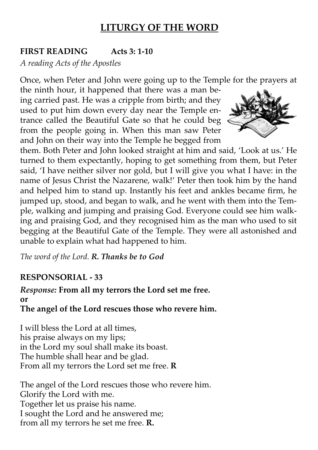# **LITURGY OF THE WORD**

#### **FIRST READING Acts 3: 1-10**

*A reading Acts of the Apostles* 

Once, when Peter and John were going up to the Temple for the prayers at

the ninth hour, it happened that there was a man being carried past. He was a cripple from birth; and they used to put him down every day near the Temple entrance called the Beautiful Gate so that he could beg from the people going in. When this man saw Peter and John on their way into the Temple he begged from



them. Both Peter and John looked straight at him and said, 'Look at us.' He turned to them expectantly, hoping to get something from them, but Peter said, 'I have neither silver nor gold, but I will give you what I have: in the name of Jesus Christ the Nazarene, walk!' Peter then took him by the hand and helped him to stand up. Instantly his feet and ankles became firm, he jumped up, stood, and began to walk, and he went with them into the Temple, walking and jumping and praising God. Everyone could see him walking and praising God, and they recognised him as the man who used to sit begging at the Beautiful Gate of the Temple. They were all astonished and unable to explain what had happened to him.

*The word of the Lord. R. Thanks be to God*

#### **RESPONSORIAL - 33**

#### *Response:* **From all my terrors the Lord set me free. or The angel of the Lord rescues those who revere him.**

I will bless the Lord at all times,

his praise always on my lips;

in the Lord my soul shall make its boast.

The humble shall hear and be glad.

From all my terrors the Lord set me free. **R**

The angel of the Lord rescues those who revere him. Glorify the Lord with me. Together let us praise his name. I sought the Lord and he answered me; from all my terrors he set me free. **R.**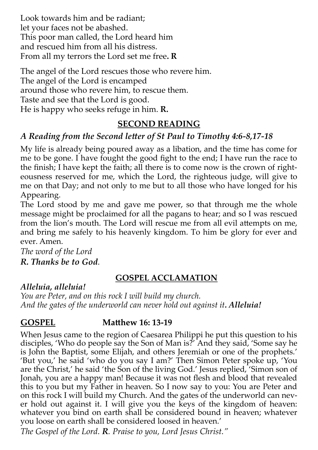Look towards him and be radiant; let your faces not be abashed. This poor man called, the Lord heard him and rescued him from all his distress. From all my terrors the Lord set me free**. R**

The angel of the Lord rescues those who revere him. The angel of the Lord is encamped around those who revere him, to rescue them. Taste and see that the Lord is good. He is happy who seeks refuge in him. **R.** 

### **SECOND READING**

# *A Reading from the Second letter of St Paul to Timothy 4:6-8,17-18*

My life is already being poured away as a libation, and the time has come for me to be gone. I have fought the good fight to the end; I have run the race to the finish; I have kept the faith; all there is to come now is the crown of righteousness reserved for me, which the Lord, the righteous judge, will give to me on that Day; and not only to me but to all those who have longed for his Appearing.

The Lord stood by me and gave me power, so that through me the whole message might be proclaimed for all the pagans to hear; and so I was rescued from the lion's mouth. The Lord will rescue me from all evil attempts on me, and bring me safely to his heavenly kingdom. To him be glory for ever and ever. Amen.

*The word of the Lord R. Thanks be to God.* 

## **GOSPEL ACCLAMATION**

*Alleluia, alleluia!* 

*You are Peter, and on this rock I will build my church. And the gates of the underworld can never hold out against it. Alleluia!*

#### **GOSPEL****Matthew 16: 13-19**

When Jesus came to the region of Caesarea Philippi he put this question to his disciples, 'Who do people say the Son of Man is?' And they said, 'Some say he is John the Baptist, some Elijah, and others Jeremiah or one of the prophets.' 'But you,' he said 'who do you say I am?' Then Simon Peter spoke up, 'You are the Christ,' he said 'the Son of the living God.' Jesus replied, 'Simon son of Jonah, you are a happy man! Because it was not flesh and blood that revealed this to you but my Father in heaven. So I now say to you: You are Peter and on this rock I will build my Church. And the gates of the underworld can never hold out against it. I will give you the keys of the kingdom of heaven: whatever you bind on earth shall be considered bound in heaven; whatever you loose on earth shall be considered loosed in heaven.'

*The Gospel of the Lord. R. Praise to you, Lord Jesus Christ."*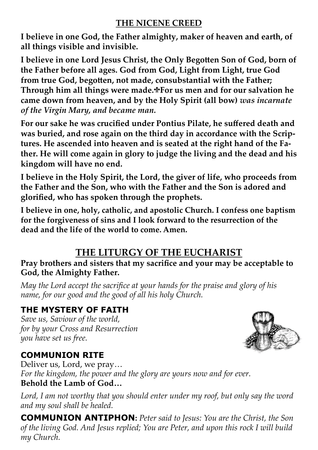## **THE NICENE CREED**

**I believe in one God, the Father almighty, maker of heaven and earth, of all things visible and invisible.**

**I believe in one Lord Jesus Christ, the Only Begotten Son of God, born of the Father before all ages. God from God, Light from Light, true God from true God, begotten, not made, consubstantial with the Father; Through him all things were made.
For us men and for our salvation he came down from heaven, and by the Holy Spirit (all bow)** *was incarnate of the Virgin Mary, and became man.*

**For our sake he was crucified under Pontius Pilate, he suffered death and was buried, and rose again on the third day in accordance with the Scriptures. He ascended into heaven and is seated at the right hand of the Father. He will come again in glory to judge the living and the dead and his kingdom will have no end.**

**I believe in the Holy Spirit, the Lord, the giver of life, who proceeds from the Father and the Son, who with the Father and the Son is adored and glorified, who has spoken through the prophets.**

**I believe in one, holy, catholic, and apostolic Church. I confess one baptism for the forgiveness of sins and I look forward to the resurrection of the dead and the life of the world to come. Amen.**

# **THE LITURGY OF THE EUCHARIST**

**Pray brothers and sisters that my sacrifice and your may be acceptable to God, the Almighty Father.**

*May the Lord accept the sacrifice at your hands for the praise and glory of his name, for our good and the good of all his holy Church.*

# **THE MYSTERY OF FAITH**

*Save us, Saviour of the world, for by your Cross and Resurrection you have set us free.* 



# **COMMUNION RITE**

Deliver us, Lord, we pray… *For the kingdom, the power and the glory are yours now and for ever.* **Behold the Lamb of God…**

*Lord, I am not worthy that you should enter under my roof, but only say the word and my soul shall be healed.*

**COMMUNION ANTIPHON:** *Peter said to Jesus: You are the Christ, the Son of the living God. And Jesus replied; You are Peter, and upon this rock I will build my Church.*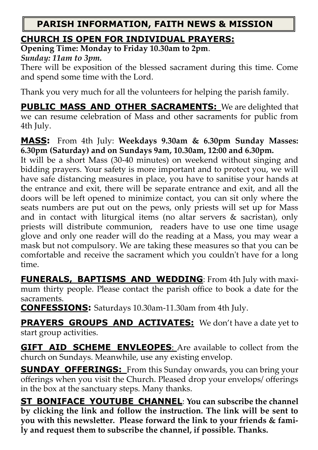# **PARISH INFORMATION, FAITH NEWS & MISSION**

# **CHURCH IS OPEN FOR INDIVIDUAL PRAYERS:**

**Opening Time: Monday to Friday 10.30am to 2pm**.

*Sunday: 11am to 3pm.*

There will be exposition of the blessed sacrament during this time. Come and spend some time with the Lord.

Thank you very much for all the volunteers for helping the parish family.

**PUBLIC MASS AND OTHER SACRAMENTS:** We are delighted that we can resume celebration of Mass and other sacraments for public from 4th July.

**MASS:** From 4th July: **Weekdays 9.30am & 6.30pm Sunday Masses: 6.30pm (Saturday) and on Sundays 9am, 10.30am, 12:00 and 6.30pm.**

It will be a short Mass (30-40 minutes) on weekend without singing and bidding prayers. Your safety is more important and to protect you, we will have safe distancing measures in place, you have to sanitise your hands at the entrance and exit, there will be separate entrance and exit, and all the doors will be left opened to minimize contact, you can sit only where the seats numbers are put out on the pews, only priests will set up for Mass and in contact with liturgical items (no altar servers & sacristan), only priests will distribute communion, readers have to use one time usage glove and only one reader will do the reading at a Mass, you may wear a mask but not compulsory. We are taking these measures so that you can be comfortable and receive the sacrament which you couldn't have for a long time.

**FUNERALS, BAPTISMS AND WEDDING**: From 4th July with maximum thirty people. Please contact the parish office to book a date for the sacraments.

**CONFESSIONS:** Saturdays 10.30am-11.30am from 4th July.

**PRAYERS GROUPS AND ACTIVATES:** We don't have a date yet to start group activities.

**GIFT AID SCHEME ENVLEOPES:** Are available to collect from the church on Sundays. Meanwhile, use any existing envelop.

**SUNDAY OFFERINGS:** From this Sunday onwards, you can bring your offerings when you visit the Church. Pleased drop your envelops/ offerings in the box at the sanctuary steps. Many thanks.

**ST BONIFACE YOUTUBE CHANNEL**: **You can subscribe the channel by clicking the link and follow the instruction. The link will be sent to you with this newsletter. Please forward the link to your friends & family and request them to subscribe the channel, if possible. Thanks.**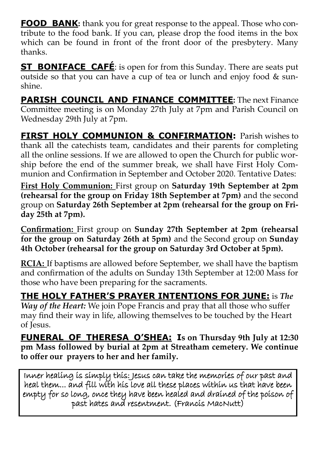**FOOD BANK:** thank you for great response to the appeal. Those who contribute to the food bank. If you can, please drop the food items in the box which can be found in front of the front door of the presbytery. Many thanks.

**ST BONIFACE CAFÉ:** is open for from this Sunday. There are seats put outside so that you can have a cup of tea or lunch and enjoy food & sunshine.

**PARISH COUNCIL AND FINANCE COMMITTEE:** The next Finance Committee meeting is on Monday 27th July at 7pm and Parish Council on Wednesday 29th July at 7pm.

**FIRST HOLY COMMUNION & CONFIRMATION:** Parish wishes to thank all the catechists team, candidates and their parents for completing all the online sessions. If we are allowed to open the Church for public worship before the end of the summer break, we shall have First Holy Communion and Confirmation in September and October 2020. Tentative Dates:

**First Holy Communion:** First group on **Saturday 19th September at 2pm (rehearsal for the group on Friday 18th September at 7pm)** and the second group on **Saturday 26th September at 2pm (rehearsal for the group on Friday 25th at 7pm).**

**Confirmation:** First group on **Sunday 27th September at 2pm (rehearsal for the group on Saturday 26th at 5pm)** and the Second group on **Sunday 4th October (rehearsal for the group on Saturday 3rd October at 5pm).**

**RCIA:** If baptisms are allowed before September, we shall have the baptism and confirmation of the adults on Sunday 13th September at 12:00 Mass for those who have been preparing for the sacraments.

**THE HOLY FATHER'S PRAYER INTENTIONS FOR JUNE:** is *The Way of the Heart:* We join Pope Francis and pray that all those who suffer may find their way in life, allowing themselves to be touched by the Heart of Jesus.

**FUNERAL OF THERESA O'SHEA: Is on Thursday 9th July at 12:30 pm Mass followed by burial at 2pm at Streatham cemetery. We continue to offer our prayers to her and her family.**

Inner healing is simply this: Jesus can take the memories of our past and heal them... and fill with his love all these places within us that have been empty for so long, once they have been healed and drained of the poison of past hates and resentment. (Francis MacNutt)